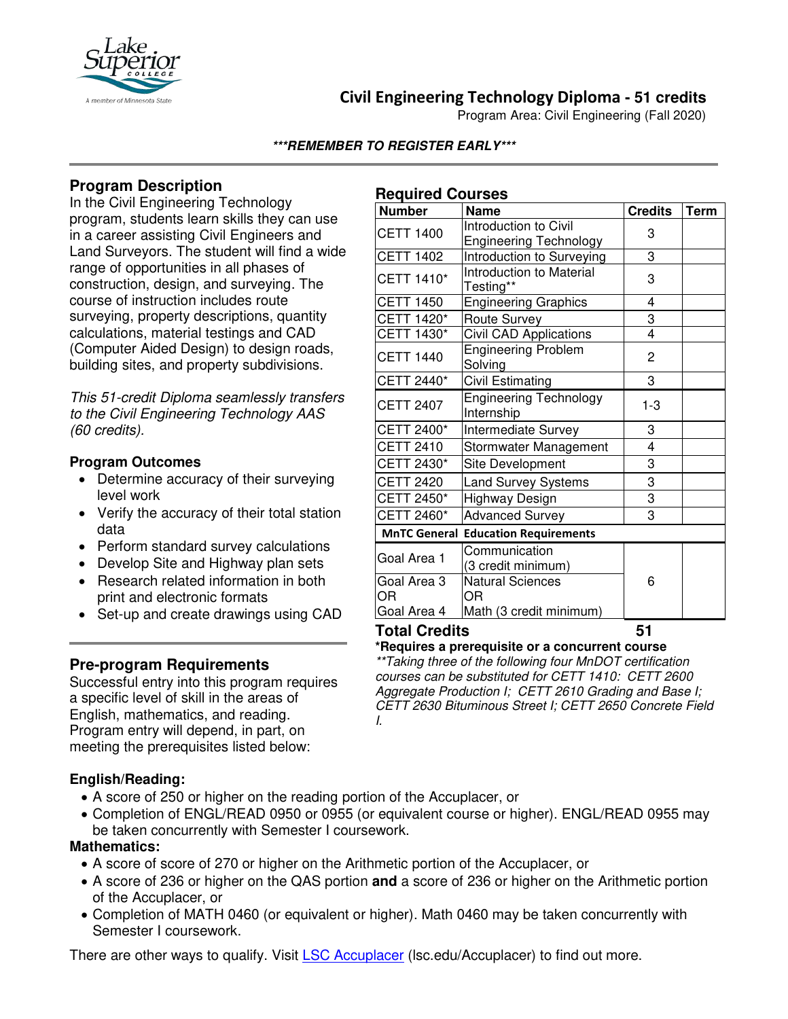

# **Civil Engineering Technology Diploma - 51 credits**

Program Area: Civil Engineering (Fall 2020)

### **\*\*\*REMEMBER TO REGISTER EARLY\*\*\***

## **Program Description**

In the Civil Engineering Technology program, students learn skills they can use in a career assisting Civil Engineers and Land Surveyors. The student will find a wide range of opportunities in all phases of construction, design, and surveying. The course of instruction includes route surveying, property descriptions, quantity calculations, material testings and CAD (Computer Aided Design) to design roads, building sites, and property subdivisions.

*This 51-credit Diploma seamlessly transfers to the Civil Engineering Technology AAS (60 credits).*

### **Program Outcomes**

- Determine accuracy of their surveying level work
- Verify the accuracy of their total station data
- Perform standard survey calculations
- Develop Site and Highway plan sets
- Research related information in both print and electronic formats
- Set-up and create drawings using CAD

### **Pre-program Requirements**

Successful entry into this program requires a specific level of skill in the areas of English, mathematics, and reading. Program entry will depend, in part, on meeting the prerequisites listed below:

### **English/Reading:**

- A score of 250 or higher on the reading portion of the Accuplacer, or
- Completion of ENGL/READ 0950 or 0955 (or equivalent course or higher). ENGL/READ 0955 may be taken concurrently with Semester I coursework.

#### **Mathematics:**

- A score of score of 270 or higher on the Arithmetic portion of the Accuplacer, or
- A score of 236 or higher on the QAS portion **and** a score of 236 or higher on the Arithmetic portion of the Accuplacer, or
- Completion of MATH 0460 (or equivalent or higher). Math 0460 may be taken concurrently with Semester I coursework.

There are other ways to qualify. Visit [LSC Accuplacer](https://www.lsc.edu/accuplacer/) (Isc.edu/Accuplacer) to find out more.

#### **Required Courses**

| <b>Number</b>     | <b>Name</b>                                            | <b>Credits</b> | <b>Term</b> |
|-------------------|--------------------------------------------------------|----------------|-------------|
| <b>CETT 1400</b>  | Introduction to Civil<br><b>Engineering Technology</b> | 3              |             |
| <b>CETT 1402</b>  | Introduction to Surveying                              | 3              |             |
| CETT 1410*        | Introduction to Material<br>Testing**                  | 3              |             |
| <b>CETT 1450</b>  | <b>Engineering Graphics</b>                            | 4              |             |
| <b>CETT 1420*</b> | <b>Route Survey</b>                                    | 3              |             |
| CETT 1430*        | Civil CAD Applications                                 | $\overline{4}$ |             |
| <b>CETT 1440</b>  | <b>Engineering Problem</b><br>Solving                  | 2              |             |
| CETT 2440*        | Civil Estimating                                       | 3              |             |
| <b>CETT 2407</b>  | <b>Engineering Technology</b><br>Internship            | $1 - 3$        |             |
| <b>CETT 2400*</b> | Intermediate Survey                                    | 3              |             |
| <b>CETT 2410</b>  | Stormwater Management                                  | 4              |             |
| CETT 2430*        | Site Development                                       | 3              |             |
| <b>CETT 2420</b>  | <b>Land Survey Systems</b>                             | 3              |             |
| <b>CETT 2450*</b> | Highway Design                                         | 3              |             |
| CETT 2460*        | <b>Advanced Survey</b>                                 | 3              |             |
|                   | <b>MnTC General Education Requirements</b>             |                |             |
| Goal Area 1       | Communication<br>(3 credit minimum)                    |                |             |
| Goal Area 3<br>OR | <b>Natural Sciences</b><br>ΟR                          | 6              |             |
| Goal Area 4       | Math (3 credit minimum)                                |                |             |
| Tatal Cradita     |                                                        | c4             |             |

**Total Credits 51**

**\*Requires a prerequisite or a concurrent course**

*\*\*Taking three of the following four MnDOT certification courses can be substituted for CETT 1410: CETT 2600 Aggregate Production I; CETT 2610 Grading and Base I; CETT 2630 Bituminous Street I; CETT 2650 Concrete Field I.*